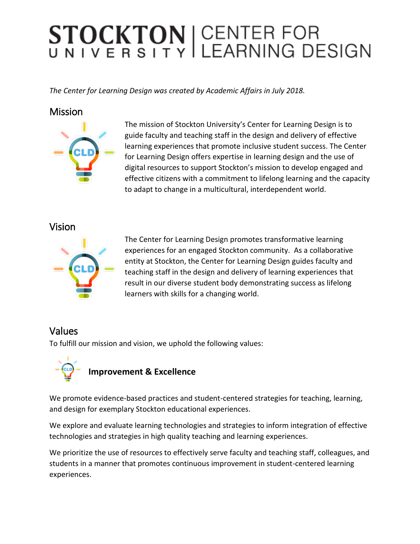# STOCKTON | CENTER FOR<br>UNIVERSITY LEARNING DESIGN

*The Center for Learning Design was created by Academic Affairs in July 2018.*

#### **Mission**



The mission of Stockton University's Center for Learning Design is to guide faculty and teaching staff in the design and delivery of effective learning experiences that promote inclusive student success. The Center for Learning Design offers expertise in learning design and the use of digital resources to support Stockton's mission to develop engaged and effective citizens with a commitment to lifelong learning and the capacity to adapt to change in a multicultural, interdependent world.

#### Vision



The Center for Learning Design promotes transformative learning experiences for an engaged Stockton community. As a collaborative entity at Stockton, the Center for Learning Design guides faculty and teaching staff in the design and delivery of learning experiences that result in our diverse student body demonstrating success as lifelong learners with skills for a changing world.

### Values

To fulfill our mission and vision, we uphold the following values:



We promote evidence-based practices and student-centered strategies for teaching, learning, and design for exemplary Stockton educational experiences.

We explore and evaluate learning technologies and strategies to inform integration of effective technologies and strategies in high quality teaching and learning experiences.

We prioritize the use of resources to effectively serve faculty and teaching staff, colleagues, and students in a manner that promotes continuous improvement in student-centered learning experiences.